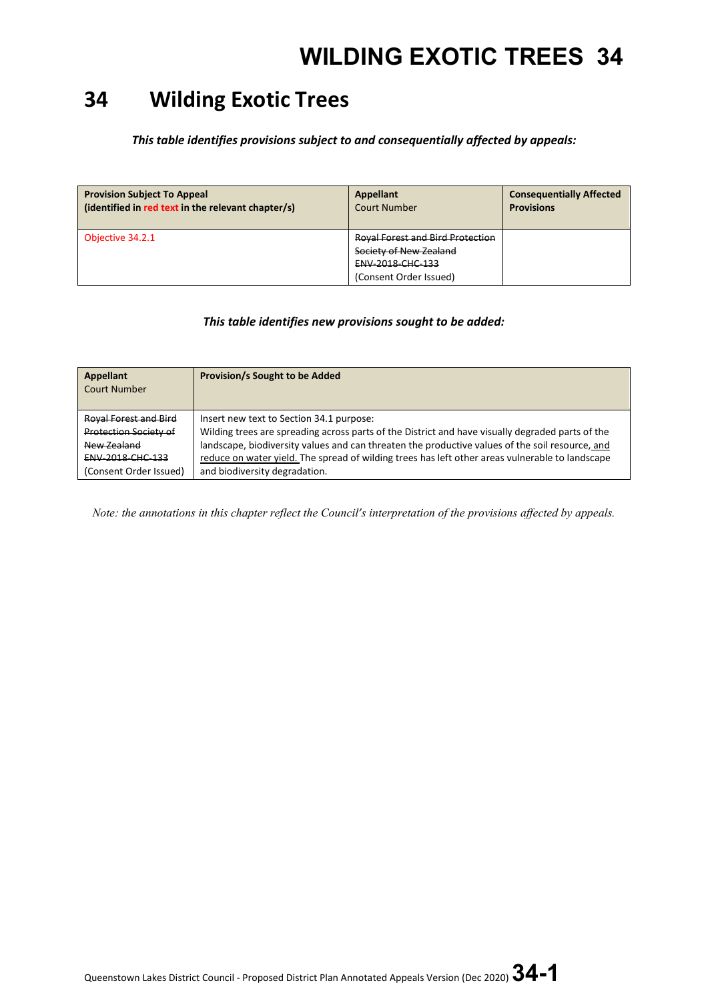### **34 Wilding Exotic Trees**

*This table identifies provisions subject to and consequentially affected by appeals:*

| <b>Provision Subject To Appeal</b><br>(identified in red text in the relevant chapter/s) | <b>Appellant</b><br><b>Court Number</b> | <b>Consequentially Affected</b><br><b>Provisions</b> |
|------------------------------------------------------------------------------------------|-----------------------------------------|------------------------------------------------------|
| Objective 34.2.1                                                                         | <b>Royal Forest and Bird Protection</b> |                                                      |
|                                                                                          | Society of New Zealand                  |                                                      |
|                                                                                          | ENV-2018-CHC-133                        |                                                      |
|                                                                                          | (Consent Order Issued)                  |                                                      |

### *This table identifies new provisions sought to be added:*

| Appellant<br>Court Number    | <b>Provision/s Sought to be Added</b>                                                            |
|------------------------------|--------------------------------------------------------------------------------------------------|
| <b>Royal Forest and Bird</b> | Insert new text to Section 34.1 purpose:                                                         |
| Protection Society of        | Wilding trees are spreading across parts of the District and have visually degraded parts of the |
| New Zealand                  | landscape, biodiversity values and can threaten the productive values of the soil resource, and  |
| <b>ENV 2018 CHC 133</b>      | reduce on water yield. The spread of wilding trees has left other areas vulnerable to landscape  |
| (Consent Order Issued)       | and biodiversity degradation.                                                                    |

*Note: the annotations in this chapter reflect the Council's interpretation of the provisions affected by appeals.*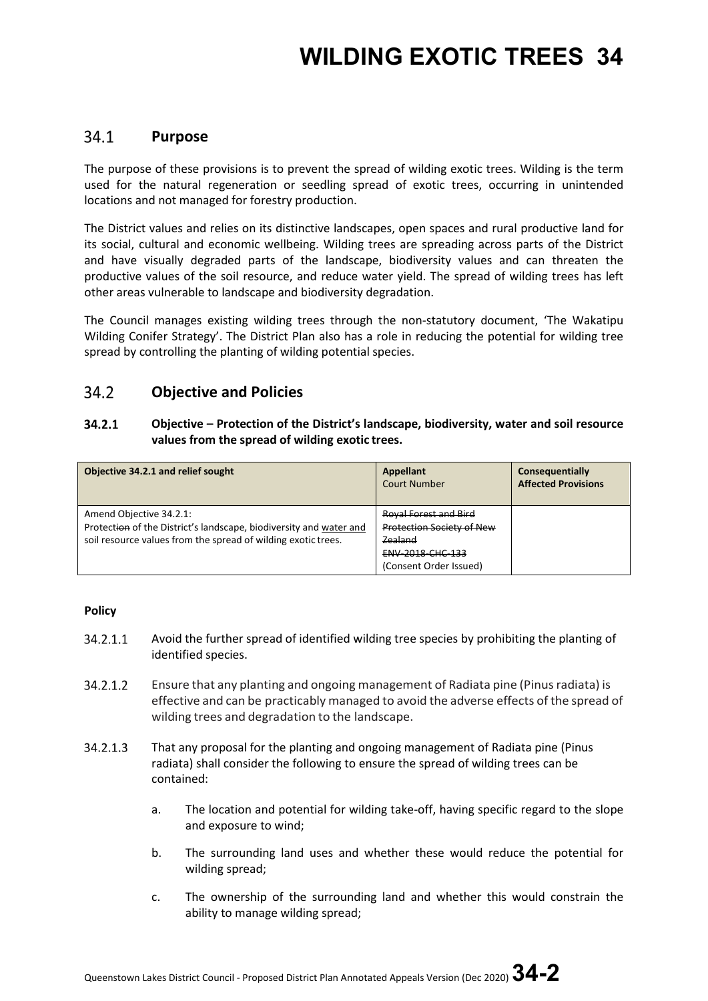## **WILDING EXOTIC TREES 34**

#### $34.1$ **Purpose**

The purpose of these provisions is to prevent the spread of wilding exotic trees. Wilding is the term used for the natural regeneration or seedling spread of exotic trees, occurring in unintended locations and not managed for forestry production.

The District values and relies on its distinctive landscapes, open spaces and rural productive land for its social, cultural and economic wellbeing. Wilding trees are spreading across parts of the District and have visually degraded parts of the landscape, biodiversity values and can threaten the productive values of the soil resource, and reduce water yield. The spread of wilding trees has left other areas vulnerable to landscape and biodiversity degradation.

The Council manages existing wilding trees through the non-statutory document, 'The Wakatipu Wilding Conifer Strategy'. The District Plan also has a role in reducing the potential for wilding tree spread by controlling the planting of wilding potential species.

#### 34.2 **Objective and Policies**

#### $34.2.1$ **Objective – Protection of the District's landscape, biodiversity, water and soil resource values from the spread of wilding exotic trees.**

| Objective 34.2.1 and relief sought                                                                                                                             | Appellant<br><b>Court Number</b>                                            | Consequentially<br><b>Affected Provisions</b> |
|----------------------------------------------------------------------------------------------------------------------------------------------------------------|-----------------------------------------------------------------------------|-----------------------------------------------|
| Amend Objective 34.2.1:<br>Protection of the District's landscape, biodiversity and water and<br>soil resource values from the spread of wilding exotic trees. | <b>Royal Forest and Bird</b><br><b>Protection Society of New</b><br>Zealand |                                               |
|                                                                                                                                                                | <b>ENV 2018 CHC 133</b><br>(Consent Order Issued)                           |                                               |

### **Policy**

- 34.2.1.1 Avoid the further spread of identified wilding tree species by prohibiting the planting of identified species.
- 34.2.1.2 Ensure that any planting and ongoing management of Radiata pine (Pinusradiata) is effective and can be practicably managed to avoid the adverse effects of the spread of wilding trees and degradation to the landscape.
- 34.2.1.3 That any proposal for the planting and ongoing management of Radiata pine (Pinus radiata) shall consider the following to ensure the spread of wilding trees can be contained:
	- a. The location and potential for wilding take-off, having specific regard to the slope and exposure to wind;
	- b. The surrounding land uses and whether these would reduce the potential for wilding spread;
	- c. The ownership of the surrounding land and whether this would constrain the ability to manage wilding spread;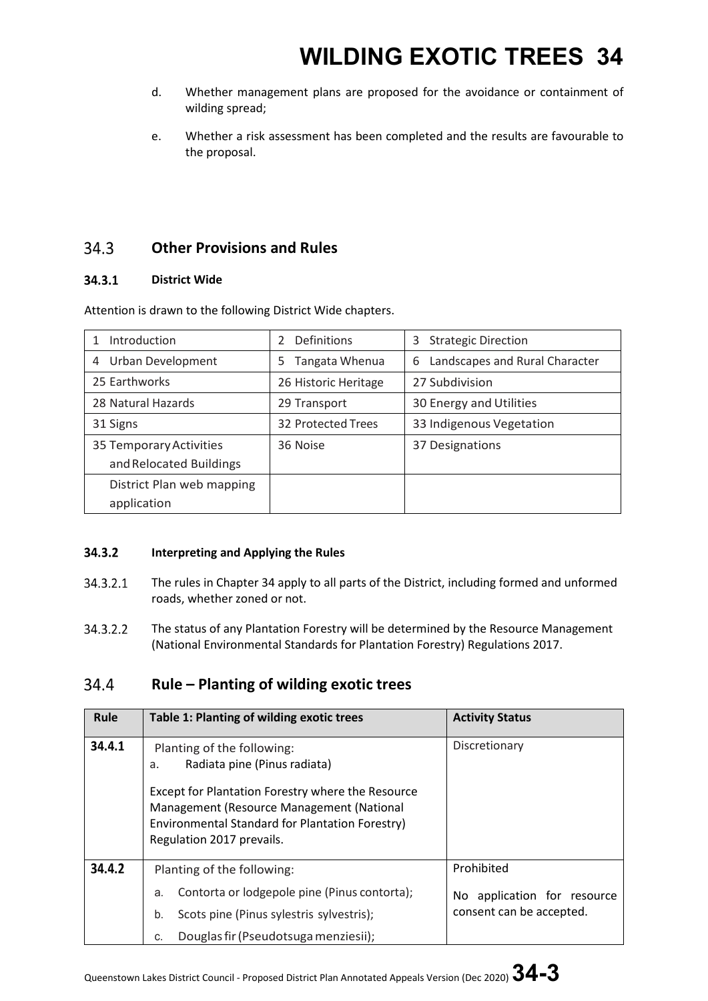# **WILDING EXOTIC TREES 34**

- d. Whether management plans are proposed for the avoidance or containment of wilding spread;
- e. Whether a risk assessment has been completed and the results are favourable to the proposal.

#### **Other Provisions and Rules**  34.3

#### 34.3.1 **District Wide**

| Introduction                                       | Definitions<br>$\mathfrak z$ | 3<br><b>Strategic Direction</b>     |
|----------------------------------------------------|------------------------------|-------------------------------------|
| Urban Development<br>4                             | Tangata Whenua<br>5          | Landscapes and Rural Character<br>6 |
| 25 Earthworks                                      | 26 Historic Heritage         | 27 Subdivision                      |
| 28 Natural Hazards                                 | 29 Transport                 | 30 Energy and Utilities             |
| 31 Signs                                           | 32 Protected Trees           | 33 Indigenous Vegetation            |
| 35 Temporary Activities<br>and Relocated Buildings | 36 Noise                     | 37 Designations                     |
| District Plan web mapping                          |                              |                                     |
| application                                        |                              |                                     |

Attention is drawn to the following District Wide chapters.

#### 34.3.2 **Interpreting and Applying the Rules**

- 34.3.2.1 The rules in Chapter 34 apply to all parts of the District, including formed and unformed roads, whether zoned or not.
- 34.3.2.2 The status of any Plantation Forestry will be determined by the Resource Management (National Environmental Standards for Plantation Forestry) Regulations 2017.

#### 34.4 **Rule – Planting of wilding exotic trees**

| Rule   | Table 1: Planting of wilding exotic trees                                                                                                                                                                                                          | <b>Activity Status</b>                                                    |
|--------|----------------------------------------------------------------------------------------------------------------------------------------------------------------------------------------------------------------------------------------------------|---------------------------------------------------------------------------|
| 34.4.1 | Planting of the following:<br>Radiata pine (Pinus radiata)<br>a.<br>Except for Plantation Forestry where the Resource<br>Management (Resource Management (National<br>Environmental Standard for Plantation Forestry)<br>Regulation 2017 prevails. | Discretionary                                                             |
| 34.4.2 | Planting of the following:<br>Contorta or lodgepole pine (Pinus contorta);<br>a.<br>Scots pine (Pinus sylestris sylvestris);<br>b.<br>Douglas fir (Pseudotsuga menziesii);<br>C.                                                                   | Prohibited<br>application for resource<br>No.<br>consent can be accepted. |